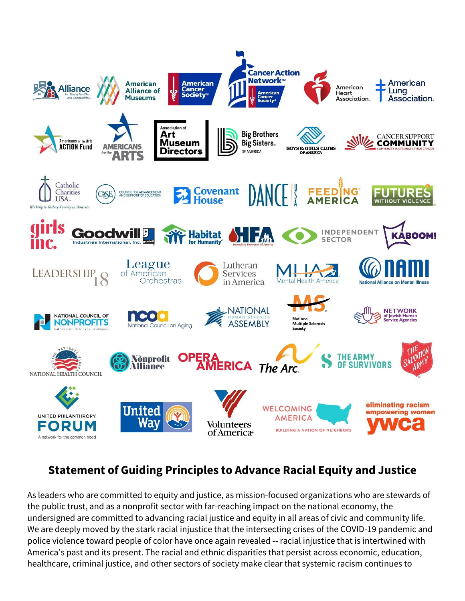

## **Statement of Guiding Principles to Advance Racial Equity and Justice**

As leaders who are committed to equity and justice, as mission-focused organizations who are stewards of the public trust, and as a nonprofit sector with far-reaching impact on the national economy, the undersigned are committed to advancing racial justice and equity in all areas of civic and community life. We are deeply moved by the stark racial injustice that the intersecting crises of the COVID-19 pandemic and police violence toward people of color have once again revealed -- racial injustice that is intertwined with America's past and its present. The racial and ethnic disparities that persist across economic, education, healthcare, criminal justice, and other sectors of society make clear that systemic racism continues to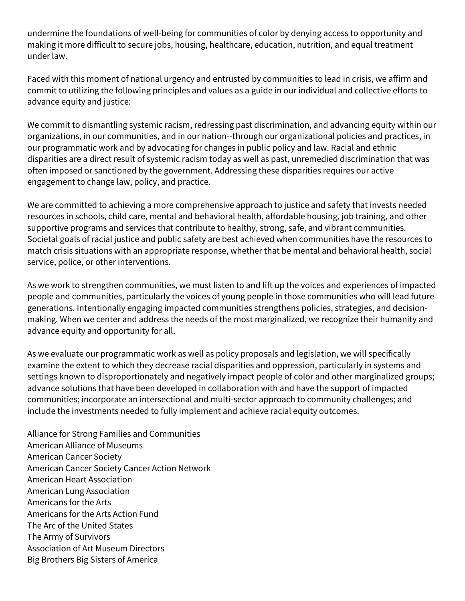undermine the foundations of well-being for communities of color by denying access to opportunity and making it more difficult to secure jobs, housing, healthcare, education, nutrition, and equal treatment under law.

Faced with this moment of national urgency and entrusted by communities to lead in crisis, we affirm and commit to utilizing the following principles and values as a guide in our individual and collective efforts to advance equity and justice:

We commit to dismantling systemic racism, redressing past discrimination, and advancing equity within our organizations, in our communities, and in our nation--through our organizational policies and practices, in our programmatic work and by advocating for changes in public policy and law. Racial and ethnic disparities are a direct result of systemic racism today as well as past, unremedied discrimination that was often imposed or sanctioned by the government. Addressing these disparities requires our active engagement to change law, policy, and practice.

We are committed to achieving a more comprehensive approach to justice and safety that invests needed resources in schools, child care, mental and behavioral health, affordable housing, job training, and other supportive programs and services that contribute to healthy, strong, safe, and vibrant communities. Societal goals of racial justice and public safety are best achieved when communities have the resources to match crisis situations with an appropriate response, whether that be mental and behavioral health, social service, police, or other interventions.

As we work to strengthen communities, we must listen to and lift up the voices and experiences of impacted people and communities, particularly the voices of young people in those communities who will lead future generations. Intentionally engaging impacted communities strengthens policies, strategies, and decisionmaking. When we center and address the needs of the most marginalized, we recognize their humanity and advance equity and opportunity for all.

As we evaluate our programmatic work as well as policy proposals and legislation, we will specifically examine the extent to which they decrease racial disparities and oppression, particularly in systems and settings known to disproportionately and negatively impact people of color and other marginalized groups; advance solutions that have been developed in collaboration with and have the support of impacted communities; incorporate an intersectional and multi-sector approach to community challenges; and include the investments needed to fully implement and achieve racial equity outcomes.

Alliance for Strong Families and Communities American Alliance of Museums American Cancer Society American Cancer Society Cancer Action Network American Heart Association American Lung Association Americans for the Arts Americans for the Arts Action Fund The Arc of the United States The Army of Survivors Association of Art Museum Directors Big Brothers Big Sisters of America